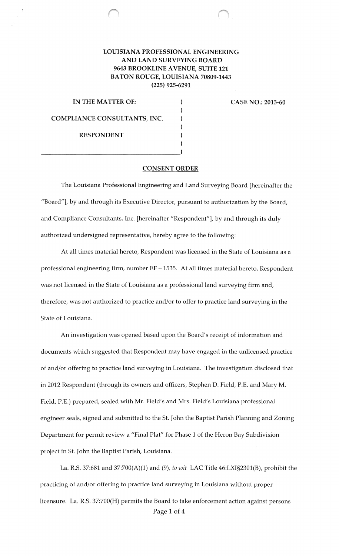## **LOUISIANA PROFESSIONAL ENGINEERING AND LAND SURVEYING BOARD 9643 BROOKLINE A VENUE, SUITE 121 BATON ROUGE, LOUISIANA 70809-1443 (225) 925-6291**

) ) ) ) ) )

**IN THE MATTER OF:** (a) **CASE NO.: 2013-60 COMPLIANCE CONSULTANTS, INC. RESPONDENT** 

## **CONSENT ORDER**

The Louisiana Professional Engineering and Land Surveying Board [hereinafter the "Board"], by and through its Executive Director, pursuant to authorization by the Board, and Compliance Consultants, Inc. [hereinafter "Respondent"], by and through its duly authorized undersigned representative, hereby agree to the following:

At all times material hereto, Respondent was licensed in the State of Louisiana as a professional engineering firm, number EF - 1535. At all times material hereto, Respondent was not licensed in the State of Louisiana as a professional land surveying firm and, therefore, was not authorized to practice and/or to offer to practice land surveying in the State of Louisiana.

An investigation was opened based upon the Board's receipt of information and documents which suggested that Respondent may have engaged in the unlicensed practice of and/or offering to practice land surveying in Louisiana. The investigation disclosed that in 2012 Respondent (through its owners and officers, Stephen D. Field, P.E. and Mary M. Field, P.E.) prepared, sealed with Mr. Field's and Mrs. Field's Louisiana professional engineer seals, signed and submitted to the St. John the Baptist Parish Planning and Zoning Department for permit review a "Final Plat" for Phase 1 of the Heron Bay Subdivision project in St. John the Baptist Parish, Louisiana.

La. R.S. 37:681 and 37:700(A)(1) and (9), *to wit* LAC Title 46:LXI§2301(B), prohibit the practicing of and/or offering to practice land surveying in Louisiana without proper licensure. La. R.S. 37:700(H) permits the Board to take enforcement action against persons Page 1 of 4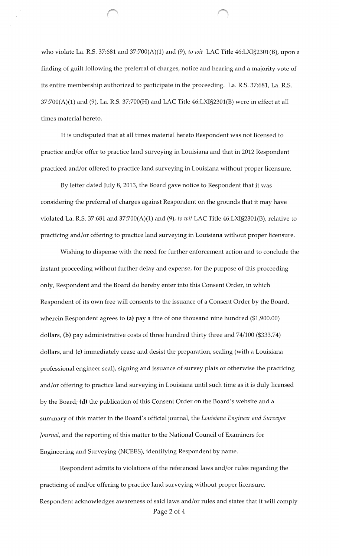who violate La. R.S. 37:681 and 37:700(A)(1) and (9), *to wit* LAC Title 46:LXI§2301(B), upon a finding of guilt following the preferral of charges, notice and hearing and a majority vote of its entire membership authorized to participate in the proceeding. La. R.S. 37:681, La. R.S. 37:700(A)(1) and (9), La. R.S. 37:700(H) and LAC Title 46:LXI§2301(B) were in effect at all times material hereto.

It is undisputed that at all times material hereto Respondent was not licensed to practice and/or offer to practice land surveying in Louisiana and that in 2012 Respondent practiced and/or offered to practice land surveying in Louisiana without proper licensure.

By letter dated July 8, 2013, the Board gave notice to Respondent that it was considering the preferral of charges against Respondent on the grounds that it may have violated La. R.S. 37:681 and 37:700(A)(1) and (9), *to wit* LAC Title 46:LXI§2301(B), relative to practicing and/or offering to practice land surveying in Louisiana without proper licensure.

Wishing to dispense with the need for further enforcement action and to conclude the instant proceeding without further delay and expense, for the purpose of this proceeding only, Respondent and the Board do hereby enter into this Consent Order, in which Respondent of its own free will consents to the issuance of a Consent Order by the Board, wherein Respondent agrees to (a) pay a fine of one thousand nine hundred (\$1,900.00) dollars, (b) pay administrative costs of three hundred thirty three and 74/100 (\$333.74) dollars, and (c) immediately cease and desist the preparation, sealing (with a Louisiana professional engineer seal), signing and issuance of survey plats or otherwise the practicing and/or offering to practice land surveying in Louisiana until such time as it is duly licensed by the Board; (d) the publication of this Consent Order on the Board's website and a summary of this matter in the Board's official journal, the *Louisiana Engineer and Surveyor Journal*, and the reporting of this matter to the National Council of Examiners for Engineering and Surveying (NCEES), identifying Respondent by name.

Respondent admits to violations of the referenced laws and/or rules regarding the practicing of and/or offering to practice land surveying without proper licensure. Respondent acknowledges awareness of said laws and/or rules and states that it will comply Page 2 of 4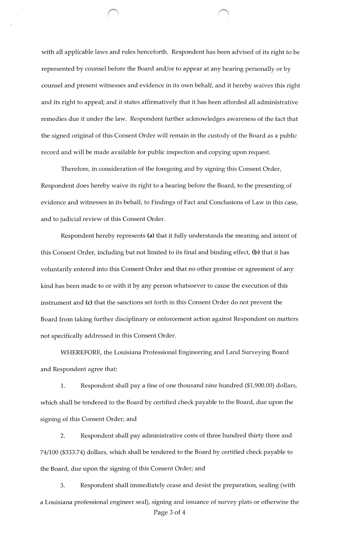with all applicable laws and rules henceforth. Respondent has been advised of its right to be represented by counsel before the Board and/or to appear at any hearing personally or by counsel and present witnesses and evidence in its own behalf, and it hereby waives this right and its right to appeal; and it states affirmatively that it has been afforded all administrative remedies due it under the law. Respondent further acknowledges awareness of the fact that the signed original of this Consent Order will remain in the custody of the Board as a public record and will be made available for public inspection and copying upon request.

Therefore, in consideration of the foregoing and by signing this Consent Order, Respondent does hereby waive its right to a hearing before the Board, to the presenting of evidence and witnesses in its behalf, to Findings of Fact and Conclusions of Law in this case, and to judicial review of this Consent Order.

Respondent hereby represents (a) that it fully understands the meaning and intent of this Consent Order, including but not limited to its final and binding effect, (b) that it has voluntarily entered into this Consent Order and that no other promise or agreement of any kind has been made to or with it by any person whatsoever to cause the execution of this instrument and (c) that the sanctions set forth in this Consent Order do not prevent the Board from taking further disciplinary or enforcement action against Respondent on matters not specifically addressed in this Consent Order.

WHEREFORE, the Louisiana Professional Engineering and Land Surveying Board and Respondent agree that:

1. Respondent shall pay a fine of one thousand nine hundred (\$1,900.00) dollars, which shall be tendered to the Board by certified check payable to the Board, due upon the signing of this Consent Order; and

2. Respondent shall pay administrative costs of three hundred thirty three and 74/100 (\$333.74) dollars, which shall be tendered to the Board by certified check payable to the Board, due upon the signing of this Consent Order; and

3. Respondent shall immediately cease and desist the preparation, sealing (with a Louisiana professional engineer seal), signing and issuance of survey plats or otherwise the Page 3 of 4